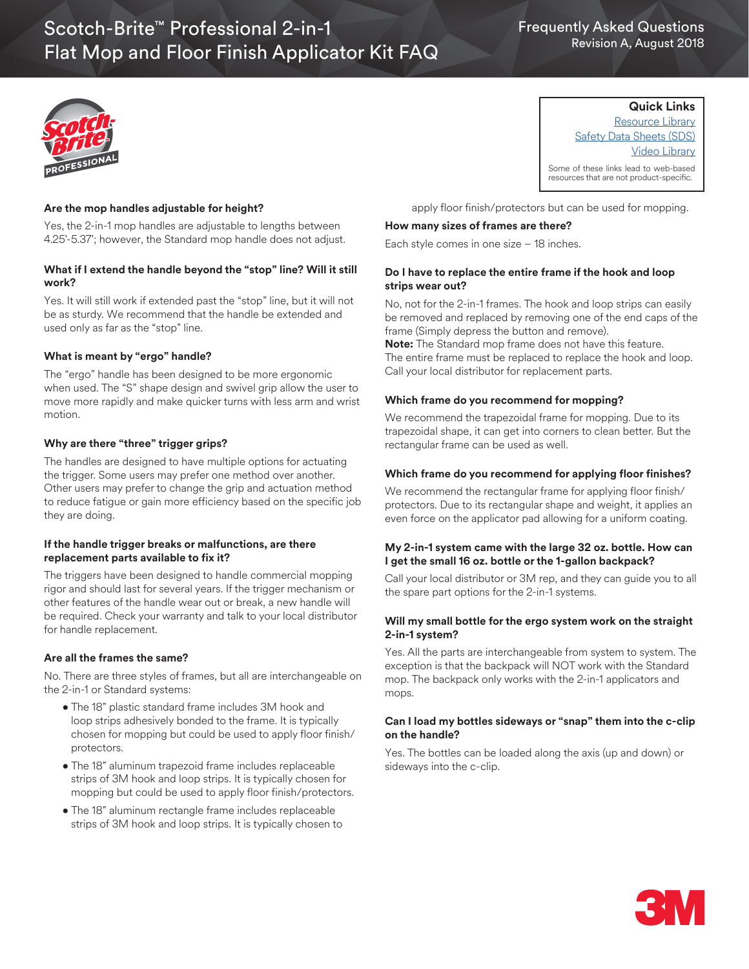# Frequently Asked Questions Revision A, August 2018



## **Are the mop handles adjustable for height?**

Yes, the 2-in-1 mop handles are adjustable to lengths between 4.25'-5.37'; however, the Standard mop handle does not adjust.

## **What if I extend the handle beyond the "stop" line? Will it still work?**

Yes. It will still work if extended past the "stop" line, but it will not be as sturdy. We recommend that the handle be extended and used only as far as the "stop" line.

#### **What is meant by "ergo" handle?**

The "ergo" handle has been designed to be more ergonomic when used. The "S" shape design and swivel grip allow the user to move more rapidly and make quicker turns with less arm and wrist motion.

## **Why are there "three" trigger grips?**

The handles are designed to have multiple options for actuating the trigger. Some users may prefer one method over another. Other users may prefer to change the grip and actuation method to reduce fatigue or gain more efficiency based on the specific job they are doing.

## **If the handle trigger breaks or malfunctions, are there replacement parts available to fix it?**

The triggers have been designed to handle commercial mopping rigor and should last for several years. If the trigger mechanism or other features of the handle wear out or break, a new handle will be required. Check your warranty and talk to your local distributor for handle replacement.

#### **Are all the frames the same?**

No. There are three styles of frames, but all are interchangeable on the 2-in-1 or Standard systems:

- The 18" plastic standard frame includes 3M hook and loop strips adhesively bonded to the frame. It is typically chosen for mopping but could be used to apply floor finish/ protectors.
- The 18" aluminum trapezoid frame includes replaceable strips of 3M hook and loop strips. It is typically chosen for mopping but could be used to apply floor finish/protectors.
- The 18" aluminum rectangle frame includes replaceable strips of 3M hook and loop strips. It is typically chosen to

apply floor finish/protectors but can be used for mopping.

### **How many sizes of frames are there?**

Each style comes in one size – 18 inches.

## **Do I have to replace the entire frame if the hook and loop strips wear out?**

No, not for the 2-in-1 frames. The hook and loop strips can easily be removed and replaced by removing one of the end caps of the frame (Simply depress the button and remove).

**Note:** The Standard mop frame does not have this feature. The entire frame must be replaced to replace the hook and loop. Call your local distributor for replacement parts.

#### **Which frame do you recommend for mopping?**

We recommend the trapezoidal frame for mopping. Due to its trapezoidal shape, it can get into corners to clean better. But the rectangular frame can be used as well.

#### **Which frame do you recommend for applying floor finishes?**

We recommend the rectangular frame for applying floor finish/ protectors. Due to its rectangular shape and weight, it applies an even force on the applicator pad allowing for a uniform coating.

#### **My 2-in-1 system came with the large 32 oz. bottle. How can I get the small 16 oz. bottle or the 1-gallon backpack?**

Call your local distributor or 3M rep, and they can guide you to all the spare part options for the 2-in-1 systems.

#### **Will my small bottle for the ergo system work on the straight 2-in-1 system?**

Yes. All the parts are interchangeable from system to system. The exception is that the backpack will NOT work with the Standard mop. The backpack only works with the 2-in-1 applicators and mops.

#### **Can I load my bottles sideways or "snap" them into the c-clip on the handle?**

Yes. The bottles can be loaded along the axis (up and down) or sideways into the c-clip.



**Quick Links** Resource Library

Safety Data Sheets (SDS) Video Library

Some of these links lead to web-based resources that are not product-specific.